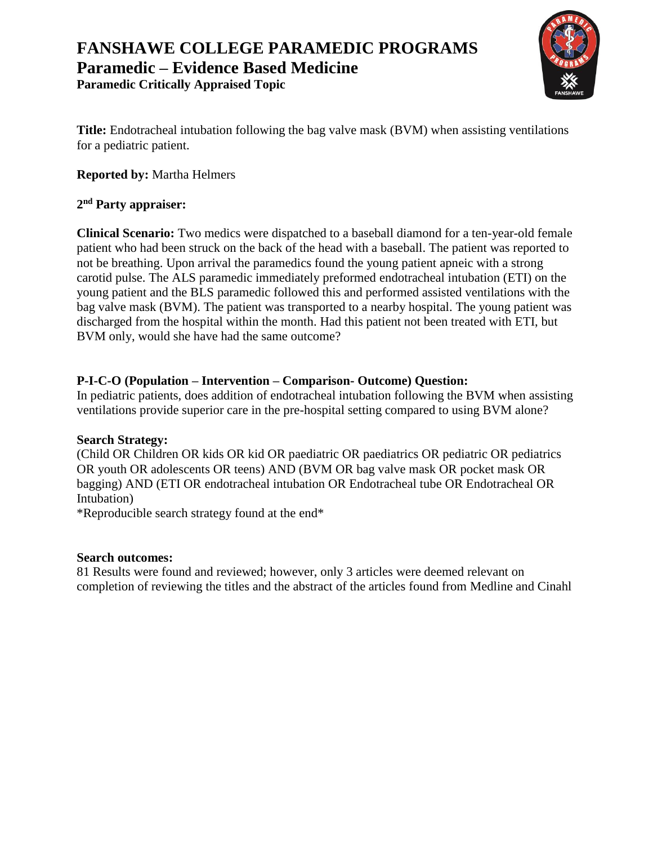

**Title:** Endotracheal intubation following the bag valve mask (BVM) when assisting ventilations for a pediatric patient.

**Reported by:** Martha Helmers

## **2 nd Party appraiser:**

**Clinical Scenario:** Two medics were dispatched to a baseball diamond for a ten-year-old female patient who had been struck on the back of the head with a baseball. The patient was reported to not be breathing. Upon arrival the paramedics found the young patient apneic with a strong carotid pulse. The ALS paramedic immediately preformed endotracheal intubation (ETI) on the young patient and the BLS paramedic followed this and performed assisted ventilations with the bag valve mask (BVM). The patient was transported to a nearby hospital. The young patient was discharged from the hospital within the month. Had this patient not been treated with ETI, but BVM only, would she have had the same outcome?

## **P-I-C-O (Population – Intervention – Comparison- Outcome) Question:**

In pediatric patients, does addition of endotracheal intubation following the BVM when assisting ventilations provide superior care in the pre-hospital setting compared to using BVM alone?

### **Search Strategy:**

(Child OR Children OR kids OR kid OR paediatric OR paediatrics OR pediatric OR pediatrics OR youth OR adolescents OR teens) AND (BVM OR bag valve mask OR pocket mask OR bagging) AND (ETI OR endotracheal intubation OR Endotracheal tube OR Endotracheal OR Intubation)

\*Reproducible search strategy found at the end\*

### **Search outcomes:**

81 Results were found and reviewed; however, only 3 articles were deemed relevant on completion of reviewing the titles and the abstract of the articles found from Medline and Cinahl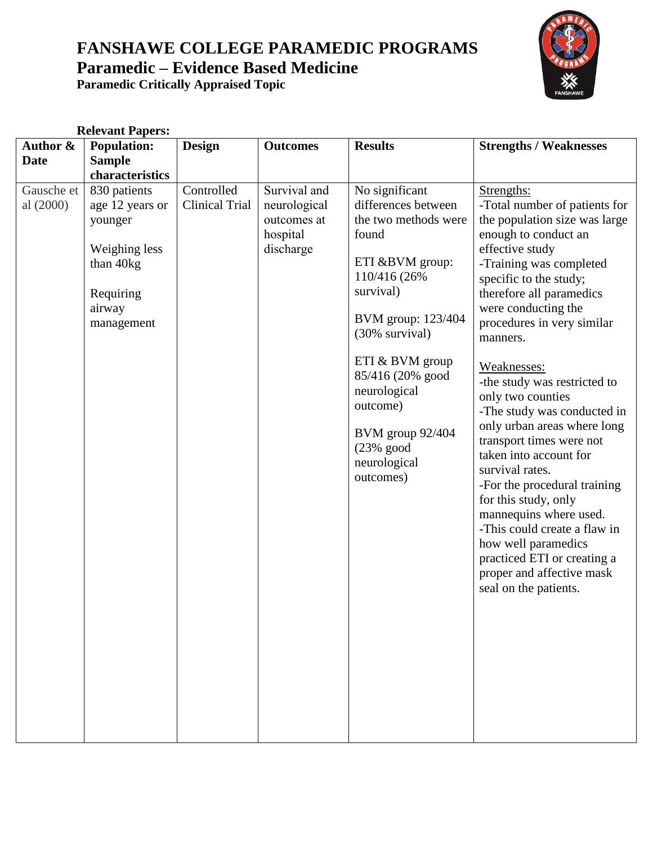

| <b>Relevant Papers:</b> |                                                                                                               |                                     |                                                                      |                                                                                                                                                                                                                                                                                                     |                                                                                                                                                                                                                                                                                                                                                                                                                                                                                                                                                                                                                                                                                                                    |
|-------------------------|---------------------------------------------------------------------------------------------------------------|-------------------------------------|----------------------------------------------------------------------|-----------------------------------------------------------------------------------------------------------------------------------------------------------------------------------------------------------------------------------------------------------------------------------------------------|--------------------------------------------------------------------------------------------------------------------------------------------------------------------------------------------------------------------------------------------------------------------------------------------------------------------------------------------------------------------------------------------------------------------------------------------------------------------------------------------------------------------------------------------------------------------------------------------------------------------------------------------------------------------------------------------------------------------|
| Author &                | <b>Population:</b>                                                                                            | <b>Design</b>                       | <b>Outcomes</b>                                                      | <b>Results</b>                                                                                                                                                                                                                                                                                      | <b>Strengths / Weaknesses</b>                                                                                                                                                                                                                                                                                                                                                                                                                                                                                                                                                                                                                                                                                      |
| <b>Date</b>             | <b>Sample</b>                                                                                                 |                                     |                                                                      |                                                                                                                                                                                                                                                                                                     |                                                                                                                                                                                                                                                                                                                                                                                                                                                                                                                                                                                                                                                                                                                    |
|                         | characteristics                                                                                               |                                     |                                                                      |                                                                                                                                                                                                                                                                                                     |                                                                                                                                                                                                                                                                                                                                                                                                                                                                                                                                                                                                                                                                                                                    |
| Gausche et<br>al (2000) | 830 patients<br>age 12 years or<br>younger<br>Weighing less<br>than 40kg<br>Requiring<br>airway<br>management | Controlled<br><b>Clinical Trial</b> | Survival and<br>neurological<br>outcomes at<br>hospital<br>discharge | No significant<br>differences between<br>the two methods were<br>found<br>ETI & BVM group:<br>110/416 (26%)<br>survival)<br>BVM group: 123/404<br>(30% survival)<br>ETI & BVM group<br>85/416 (20% good<br>neurological<br>outcome)<br>BVM group 92/404<br>$(23%$ good<br>neurological<br>outcomes) | Strengths:<br>-Total number of patients for<br>the population size was large<br>enough to conduct an<br>effective study<br>-Training was completed<br>specific to the study;<br>therefore all paramedics<br>were conducting the<br>procedures in very similar<br>manners.<br>Weaknesses:<br>-the study was restricted to<br>only two counties<br>-The study was conducted in<br>only urban areas where long<br>transport times were not<br>taken into account for<br>survival rates.<br>-For the procedural training<br>for this study, only<br>mannequins where used.<br>-This could create a flaw in<br>how well paramedics<br>practiced ETI or creating a<br>proper and affective mask<br>seal on the patients. |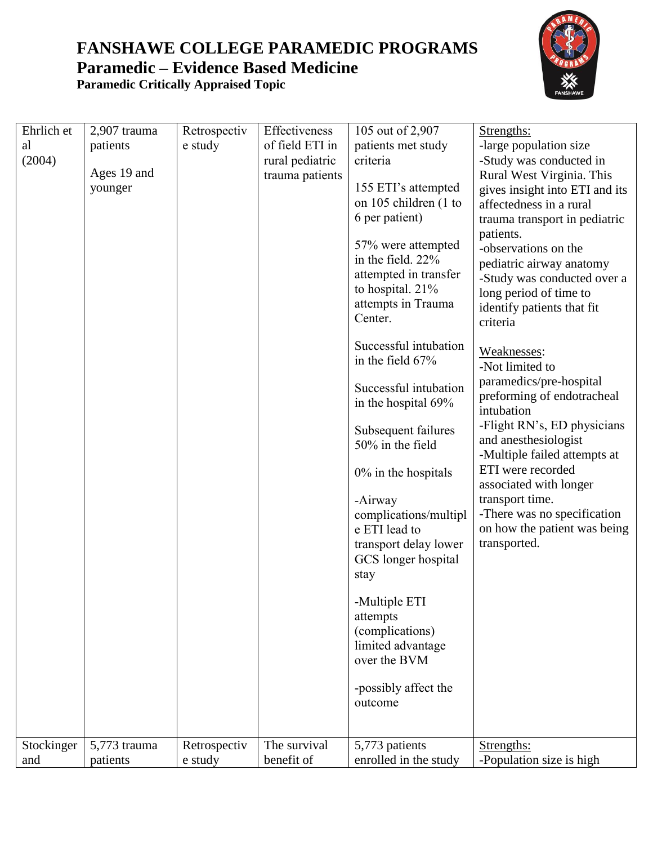

| Ehrlich et | 2,907 trauma | Retrospectiv | Effectiveness   | 105 out of 2,907                                                                                                      | Strengths:                                                                                                                                                       |
|------------|--------------|--------------|-----------------|-----------------------------------------------------------------------------------------------------------------------|------------------------------------------------------------------------------------------------------------------------------------------------------------------|
| al         | patients     | e study      | of field ETI in | patients met study                                                                                                    | -large population size                                                                                                                                           |
| (2004)     |              |              | rural pediatric | criteria                                                                                                              | -Study was conducted in                                                                                                                                          |
|            | Ages 19 and  |              | trauma patients |                                                                                                                       | Rural West Virginia. This                                                                                                                                        |
|            | younger      |              |                 | 155 ETI's attempted                                                                                                   | gives insight into ETI and its                                                                                                                                   |
|            |              |              |                 | on 105 children (1 to                                                                                                 | affectedness in a rural                                                                                                                                          |
|            |              |              |                 | 6 per patient)                                                                                                        | trauma transport in pediatric                                                                                                                                    |
|            |              |              |                 | 57% were attempted<br>in the field. 22%<br>attempted in transfer<br>to hospital. 21%<br>attempts in Trauma<br>Center. | patients.<br>-observations on the<br>pediatric airway anatomy<br>-Study was conducted over a<br>long period of time to<br>identify patients that fit<br>criteria |
|            |              |              |                 | Successful intubation<br>in the field 67%                                                                             | Weaknesses:<br>-Not limited to                                                                                                                                   |
|            |              |              |                 | Successful intubation<br>in the hospital 69%                                                                          | paramedics/pre-hospital<br>preforming of endotracheal<br>intubation                                                                                              |
|            |              |              |                 | Subsequent failures<br>50% in the field                                                                               | -Flight RN's, ED physicians<br>and anesthesiologist<br>-Multiple failed attempts at                                                                              |
|            |              |              |                 | $0\%$ in the hospitals                                                                                                | ETI were recorded<br>associated with longer                                                                                                                      |
|            |              |              |                 | -Airway                                                                                                               | transport time.                                                                                                                                                  |
|            |              |              |                 | complications/multipl                                                                                                 | -There was no specification                                                                                                                                      |
|            |              |              |                 | e ETI lead to                                                                                                         | on how the patient was being                                                                                                                                     |
|            |              |              |                 | transport delay lower                                                                                                 | transported.                                                                                                                                                     |
|            |              |              |                 | GCS longer hospital                                                                                                   |                                                                                                                                                                  |
|            |              |              |                 | stay                                                                                                                  |                                                                                                                                                                  |
|            |              |              |                 | -Multiple ETI                                                                                                         |                                                                                                                                                                  |
|            |              |              |                 | attempts                                                                                                              |                                                                                                                                                                  |
|            |              |              |                 | (complications)                                                                                                       |                                                                                                                                                                  |
|            |              |              |                 | limited advantage                                                                                                     |                                                                                                                                                                  |
|            |              |              |                 | over the BVM                                                                                                          |                                                                                                                                                                  |
|            |              |              |                 |                                                                                                                       |                                                                                                                                                                  |
|            |              |              |                 | -possibly affect the<br>outcome                                                                                       |                                                                                                                                                                  |
|            |              |              |                 |                                                                                                                       |                                                                                                                                                                  |
|            |              |              |                 |                                                                                                                       |                                                                                                                                                                  |
| Stockinger | 5,773 trauma | Retrospectiv | The survival    | 5,773 patients                                                                                                        | Strengths:                                                                                                                                                       |
| and        | patients     | e study      | benefit of      | enrolled in the study                                                                                                 | -Population size is high                                                                                                                                         |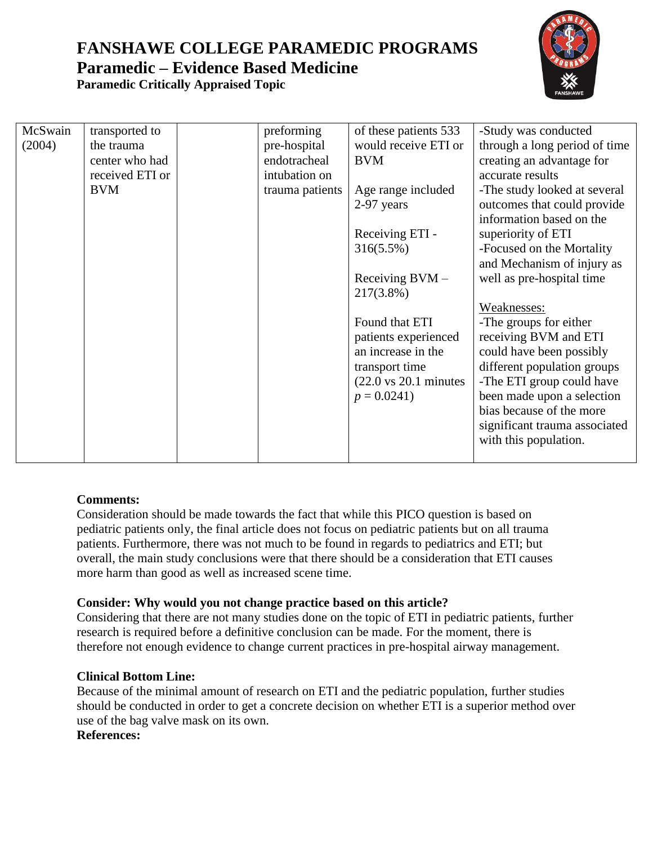

| McSwain | transported to  | preforming      | of these patients 533                     | -Study was conducted          |
|---------|-----------------|-----------------|-------------------------------------------|-------------------------------|
| (2004)  | the trauma      | pre-hospital    | would receive ETI or                      | through a long period of time |
|         | center who had  | endotracheal    | <b>BVM</b>                                | creating an advantage for     |
|         | received ETI or | intubation on   |                                           | accurate results              |
|         | <b>BVM</b>      | trauma patients | Age range included                        | -The study looked at several  |
|         |                 |                 | 2-97 years                                | outcomes that could provide   |
|         |                 |                 |                                           | information based on the      |
|         |                 |                 | Receiving ETI -                           | superiority of ETI            |
|         |                 |                 | 316(5.5%)                                 | -Focused on the Mortality     |
|         |                 |                 |                                           | and Mechanism of injury as    |
|         |                 |                 | Receiving $BVM -$                         | well as pre-hospital time     |
|         |                 |                 | 217(3.8%)                                 |                               |
|         |                 |                 |                                           | Weaknesses:                   |
|         |                 |                 | Found that ETI                            | -The groups for either        |
|         |                 |                 | patients experienced                      | receiving BVM and ETI         |
|         |                 |                 | an increase in the                        | could have been possibly      |
|         |                 |                 | transport time                            | different population groups   |
|         |                 |                 | $(22.0 \text{ vs } 20.1 \text{ minutes})$ | -The ETI group could have     |
|         |                 |                 | $p = 0.0241$                              | been made upon a selection    |
|         |                 |                 |                                           | bias because of the more      |
|         |                 |                 |                                           | significant trauma associated |
|         |                 |                 |                                           | with this population.         |
|         |                 |                 |                                           |                               |

## **Comments:**

Consideration should be made towards the fact that while this PICO question is based on pediatric patients only, the final article does not focus on pediatric patients but on all trauma patients. Furthermore, there was not much to be found in regards to pediatrics and ETI; but overall, the main study conclusions were that there should be a consideration that ETI causes more harm than good as well as increased scene time.

### **Consider: Why would you not change practice based on this article?**

Considering that there are not many studies done on the topic of ETI in pediatric patients, further research is required before a definitive conclusion can be made. For the moment, there is therefore not enough evidence to change current practices in pre-hospital airway management.

### **Clinical Bottom Line:**

Because of the minimal amount of research on ETI and the pediatric population, further studies should be conducted in order to get a concrete decision on whether ETI is a superior method over use of the bag valve mask on its own.

**References:**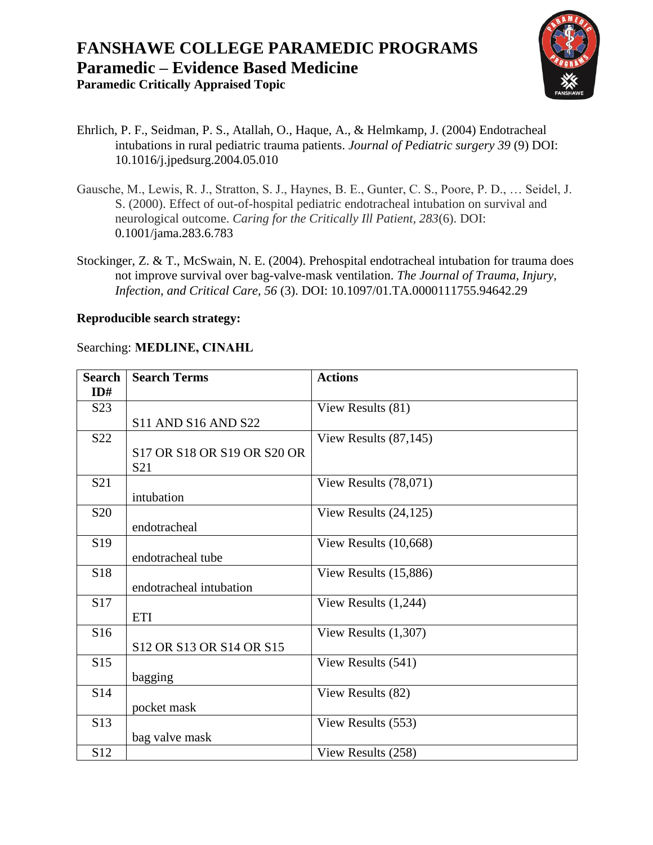

- Ehrlich, P. F., Seidman, P. S., Atallah, O., Haque, A., & Helmkamp, J. (2004) Endotracheal intubations in rural pediatric trauma patients. *Journal of Pediatric surgery 39* (9) DOI: 10.1016/j.jpedsurg.2004.05.010
- Gausche, M., Lewis, R. J., Stratton, S. J., Haynes, B. E., Gunter, C. S., Poore, P. D., … Seidel, J. S. (2000). Effect of out-of-hospital pediatric endotracheal intubation on survival and neurological outcome. *Caring for the Critically Ill Patient, 283*(6). DOI: 0.1001/jama.283.6.783
- Stockinger, Z. & T., McSwain, N. E. (2004). Prehospital endotracheal intubation for trauma does not improve survival over bag-valve-mask ventilation. *The Journal of Trauma, Injury, Infection, and Critical Care, 56* (3). DOI: 10.1097/01.TA.0000111755.94642.29

### **Reproducible search strategy:**

### Searching: **MEDLINE, CINAHL**

| <b>Search</b>    | <b>Search Terms</b>         | <b>Actions</b>           |
|------------------|-----------------------------|--------------------------|
| ID#              |                             |                          |
| S <sub>2</sub> 3 |                             | View Results (81)        |
|                  | <b>S11 AND S16 AND S22</b>  |                          |
| S <sub>22</sub>  |                             | View Results $(87, 145)$ |
|                  | S17 OR S18 OR S19 OR S20 OR |                          |
|                  | S <sub>21</sub>             |                          |
| S <sub>21</sub>  |                             | View Results $(78,071)$  |
|                  | intubation                  |                          |
| S <sub>20</sub>  |                             | View Results $(24, 125)$ |
|                  | endotracheal                |                          |
| S <sub>19</sub>  |                             | View Results (10,668)    |
|                  | endotracheal tube           |                          |
| S18              |                             | View Results (15,886)    |
|                  | endotracheal intubation     |                          |
| S17              |                             | View Results $(1,244)$   |
|                  | <b>ETI</b>                  |                          |
| S16              |                             | View Results $(1,307)$   |
|                  | S12 OR S13 OR S14 OR S15    |                          |
| S <sub>15</sub>  |                             | View Results (541)       |
|                  | bagging                     |                          |
| S14              |                             | View Results (82)        |
|                  | pocket mask                 |                          |
| S13              |                             | View Results (553)       |
|                  | bag valve mask              |                          |
| S12              |                             | View Results (258)       |